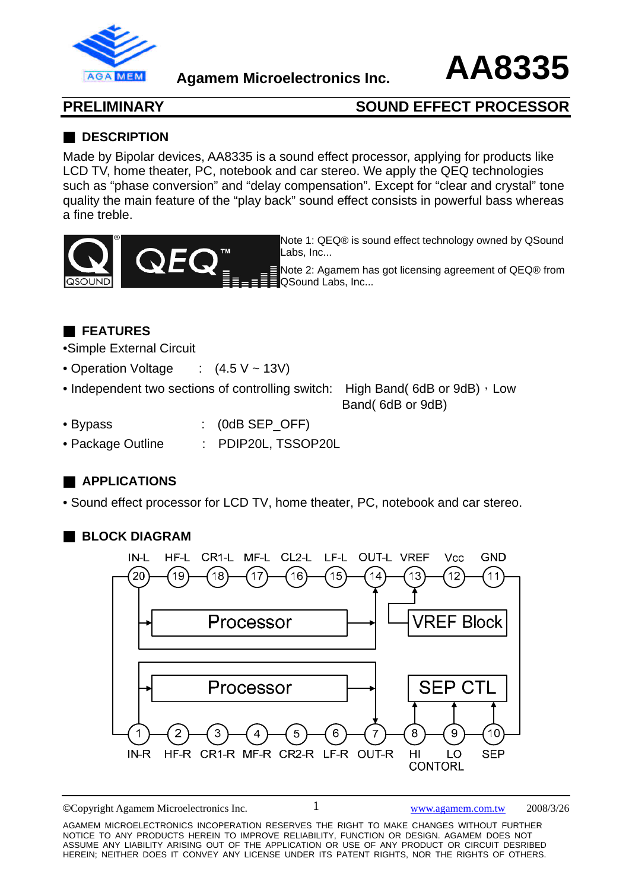

**Agamem Microelectronics Inc. AA8335**

## **PRELIMINARY SOUND EFFECT PROCESSOR**

### ■ **DESCRIPTION**

Made by Bipolar devices, AA8335 is a sound effect processor, applying for products like LCD TV, home theater, PC, notebook and car stereo. We apply the QEQ technologies such as "phase conversion" and "delay compensation". Except for "clear and crystal" tone quality the main feature of the "play back" sound effect consists in powerful bass whereas a fine treble.



Note 1: QEQ® is sound effect technology owned by QSound Labs, Inc...

Note 2: Agamem has got licensing agreement of QEQ® from QSound Labs, Inc...

## ■ **FEATURES**

•Simple External Circuit

- Operation Voltage : (4.5 V ~ 13V)
- Independent two sections of controlling switch: High Band( $6dB$  or  $9dB$ ), Low

Band( 6dB or 9dB)

- Bypass : (0dB SEP\_OFF)
- Package Outline : PDIP20L, TSSOP20L

## ■ **APPLICATIONS**

• Sound effect processor for LCD TV, home theater, PC, notebook and car stereo.

## ■ **BLOCK DIAGRAM**



©Copyright Agamem Microelectronics Inc. www.agamem.com.tw 2008/3/26

AGAMEM MICROELECTRONICS INCOPERATION RESERVES THE RIGHT TO MAKE CHANGES WITHOUT FURTHER NOTICE TO ANY PRODUCTS HEREIN TO IMPROVE RELIABILITY, FUNCTION OR DESIGN. AGAMEM DOES NOT ASSUME ANY LIABILITY ARISING OUT OF THE APPLICATION OR USE OF ANY PRODUCT OR CIRCUIT DESRIBED HEREIN; NEITHER DOES IT CONVEY ANY LICENSE UNDER ITS PATENT RIGHTS, NOR THE RIGHTS OF OTHERS.

1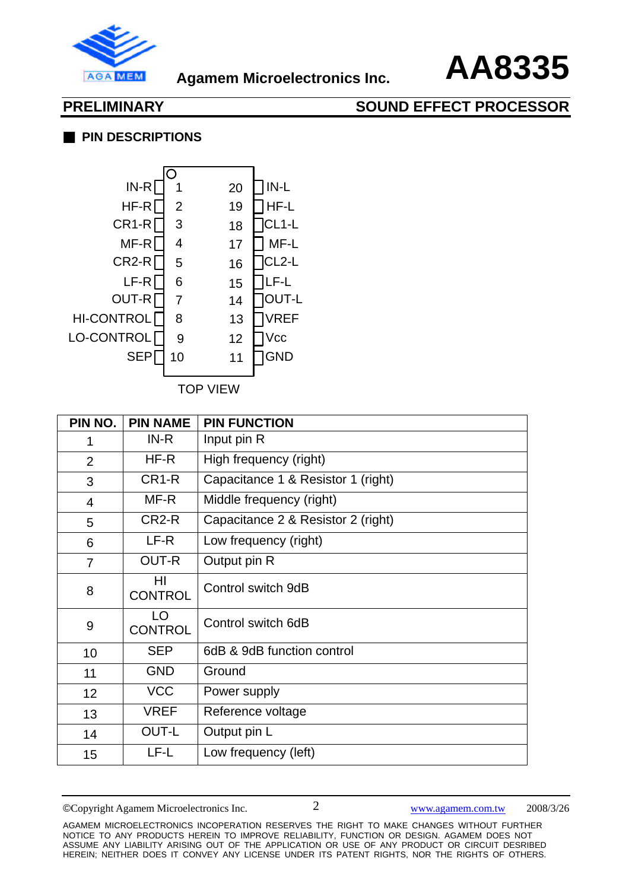

### ■ **PIN DESCRIPTIONS**



| PIN NO.         | <b>PIN NAME</b>      | <b>PIN FUNCTION</b>                |
|-----------------|----------------------|------------------------------------|
| 1               | $IN-R$               | Input pin R                        |
| 2               | HF-R                 | High frequency (right)             |
| 3               | CR <sub>1-R</sub>    | Capacitance 1 & Resistor 1 (right) |
| $\overline{4}$  | MF-R                 | Middle frequency (right)           |
| 5               | CR <sub>2</sub> -R   | Capacitance 2 & Resistor 2 (right) |
| 6               | LF-R                 | Low frequency (right)              |
| $\overline{7}$  | <b>OUT-R</b>         | Output pin R                       |
| 8               | HI<br><b>CONTROL</b> | Control switch 9dB                 |
| 9               | LO<br><b>CONTROL</b> | Control switch 6dB                 |
| 10              | <b>SEP</b>           | 6dB & 9dB function control         |
| 11              | <b>GND</b>           | Ground                             |
| 12 <sub>2</sub> | <b>VCC</b>           | Power supply                       |
| 13              | <b>VREF</b>          | Reference voltage                  |
| 14              | OUT-L                | Output pin L                       |
| 15              | LF-L                 | Low frequency (left)               |

©Copyright Agamem Microelectronics Inc. www.agamem.com.tw 2008/3/26

AGAMEM MICROELECTRONICS INCOPERATION RESERVES THE RIGHT TO MAKE CHANGES WITHOUT FURTHER NOTICE TO ANY PRODUCTS HEREIN TO IMPROVE RELIABILITY, FUNCTION OR DESIGN. AGAMEM DOES NOT ASSUME ANY LIABILITY ARISING OUT OF THE APPLICATION OR USE OF ANY PRODUCT OR CIRCUIT DESRIBED HEREIN; NEITHER DOES IT CONVEY ANY LICENSE UNDER ITS PATENT RIGHTS, NOR THE RIGHTS OF OTHERS.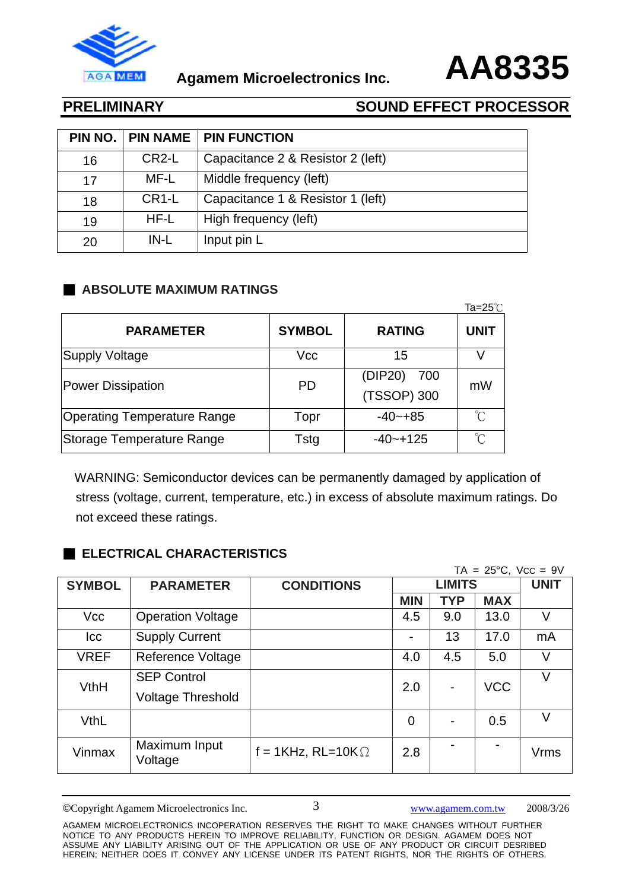



| PIN NO. | <b>PIN NAME</b>    | <b>PIN FUNCTION</b>               |
|---------|--------------------|-----------------------------------|
| 16      | CR <sub>2</sub> -L | Capacitance 2 & Resistor 2 (left) |
| 17      | MF-L               | Middle frequency (left)           |
| 18      | CR <sub>1</sub> -L | Capacitance 1 & Resistor 1 (left) |
| 19      | HF-L               | High frequency (left)             |
| 20      | $IN-L$             | Input pin L                       |

## ■ **ABSOLUTE MAXIMUM RATINGS**

|                                    |               |                               | Ta=25 $°C$           |
|------------------------------------|---------------|-------------------------------|----------------------|
| <b>PARAMETER</b>                   | <b>SYMBOL</b> | <b>RATING</b>                 | <b>UNIT</b>          |
| Supply Voltage                     | Vcc           | 15                            |                      |
| <b>Power Dissipation</b>           | <b>PD</b>     | (DIP20)<br>700<br>(TSSOP) 300 | mW                   |
| <b>Operating Temperature Range</b> | Topr          | $-40 - +85$                   | $\int_{0}^{\infty}$  |
| Storage Temperature Range          | Tstg          | $-40 - +125$                  | $\mathrm{C}^{\circ}$ |

 WARNING: Semiconductor devices can be permanently damaged by application of stress (voltage, current, temperature, etc.) in excess of absolute maximum ratings. Do not exceed these ratings.

## ■ **ELECTRICAL CHARACTERISTICS**

| $TA = 25^{\circ}C$ , $VCC = 9V$ |                                                |                           |                |            |             |      |
|---------------------------------|------------------------------------------------|---------------------------|----------------|------------|-------------|------|
| <b>SYMBOL</b>                   | <b>PARAMETER</b>                               | <b>CONDITIONS</b>         | <b>LIMITS</b>  |            | <b>UNIT</b> |      |
|                                 |                                                |                           | <b>MIN</b>     | <b>TYP</b> | <b>MAX</b>  |      |
| Vcc                             | <b>Operation Voltage</b>                       |                           | 4.5            | 9.0        | 13.0        | V    |
| <b>Icc</b>                      | <b>Supply Current</b>                          |                           |                | 13         | 17.0        | mA   |
| <b>VREF</b>                     | <b>Reference Voltage</b>                       |                           | 4.0            | 4.5        | 5.0         | V    |
| VthH                            | <b>SEP Control</b><br><b>Voltage Threshold</b> |                           | 2.0            |            | <b>VCC</b>  | V    |
| <b>VthL</b>                     |                                                |                           | $\overline{0}$ |            | 0.5         | V    |
| Vinmax                          | Maximum Input<br>Voltage                       | f = 1KHz, RL=10K $\Omega$ | 2.8            |            |             | Vrms |

©Copyright Agamem Microelectronics Inc. www.agamem.com.tw 2008/3/26

3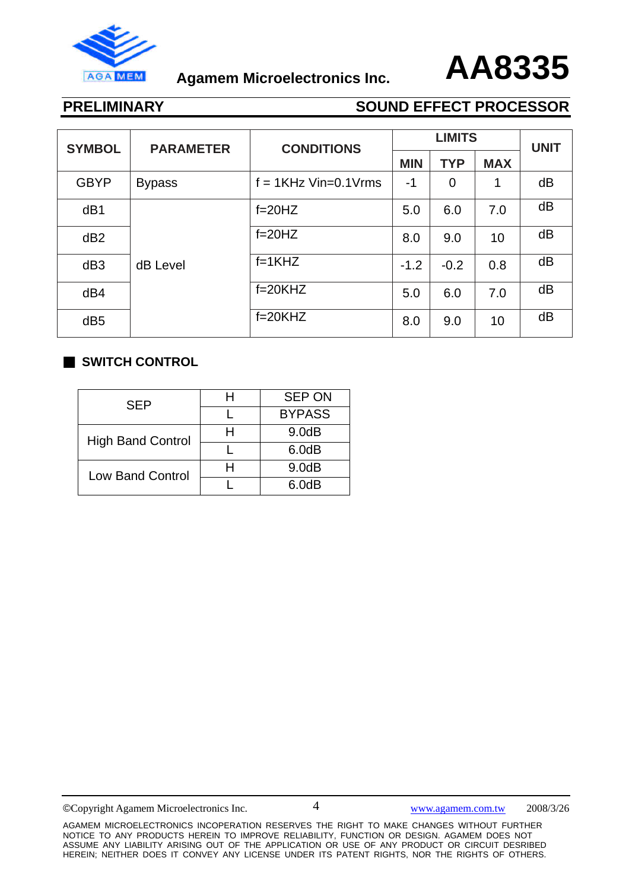



| <b>SYMBOL</b>   | <b>PARAMETER</b> | <b>CONDITIONS</b>        | <b>LIMITS</b> |                |            | <b>UNIT</b> |
|-----------------|------------------|--------------------------|---------------|----------------|------------|-------------|
|                 |                  |                          | <b>MIN</b>    | <b>TYP</b>     | <b>MAX</b> |             |
| <b>GBYP</b>     | <b>Bypass</b>    | $f = 1$ KHz Vin=0.1 Vrms | -1            | $\overline{0}$ | 1          | dB          |
| dB1             |                  | $f = 20HZ$               | 5.0           | 6.0            | 7.0        | dB          |
| dB <sub>2</sub> |                  | $f = 20HZ$               | 8.0           | 9.0            | 10         | dB          |
| dB <sub>3</sub> | dB Level         | $f=1KHZ$                 | $-1.2$        | $-0.2$         | 0.8        | dB          |
| dB4             |                  | $f=20K$ HZ               | 5.0           | 6.0            | 7.0        | dB          |
| dB <sub>5</sub> |                  | $f=20K$ HZ               | 8.0           | 9.0            | 10         | dB          |

### ■ **SWITCH CONTROL**

| SEP                      | <b>SEP ON</b> |
|--------------------------|---------------|
|                          | <b>BYPASS</b> |
| <b>High Band Control</b> | 9.0dB         |
|                          | 6.0dB         |
| <b>Low Band Control</b>  | 9.0dB         |
|                          | 6.0dB         |

©Copyright Agamem Microelectronics Inc. www.agamem.com.tw 2008/3/26

4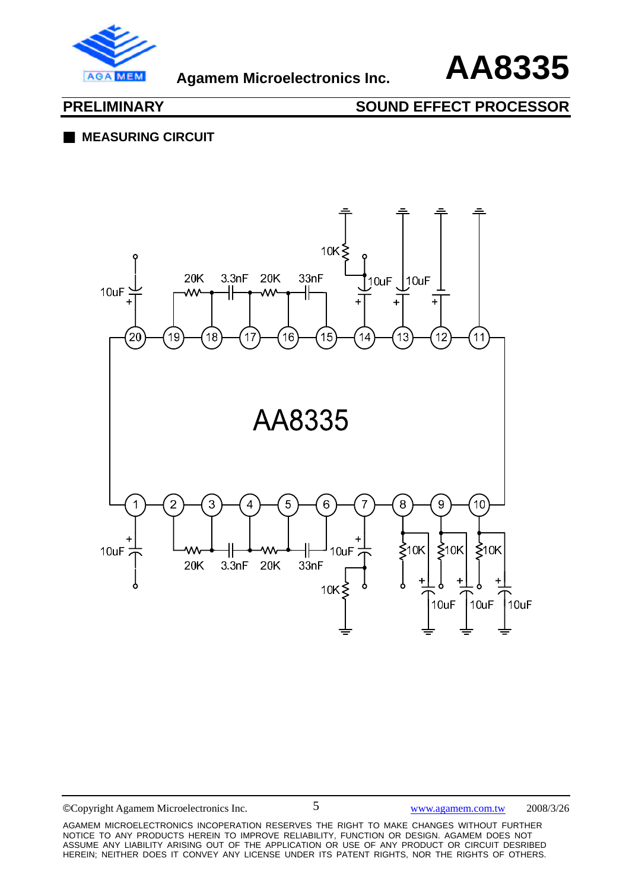



## ■ **MEASURING CIRCUIT**



©Copyright Agamem Microelectronics Inc. www.agamem.com.tw 2008/3/26

AGAMEM MICROELECTRONICS INCOPERATION RESERVES THE RIGHT TO MAKE CHANGES WITHOUT FURTHER NOTICE TO ANY PRODUCTS HEREIN TO IMPROVE RELIABILITY, FUNCTION OR DESIGN. AGAMEM DOES NOT ASSUME ANY LIABILITY ARISING OUT OF THE APPLICATION OR USE OF ANY PRODUCT OR CIRCUIT DESRIBED HEREIN; NEITHER DOES IT CONVEY ANY LICENSE UNDER ITS PATENT RIGHTS, NOR THE RIGHTS OF OTHERS.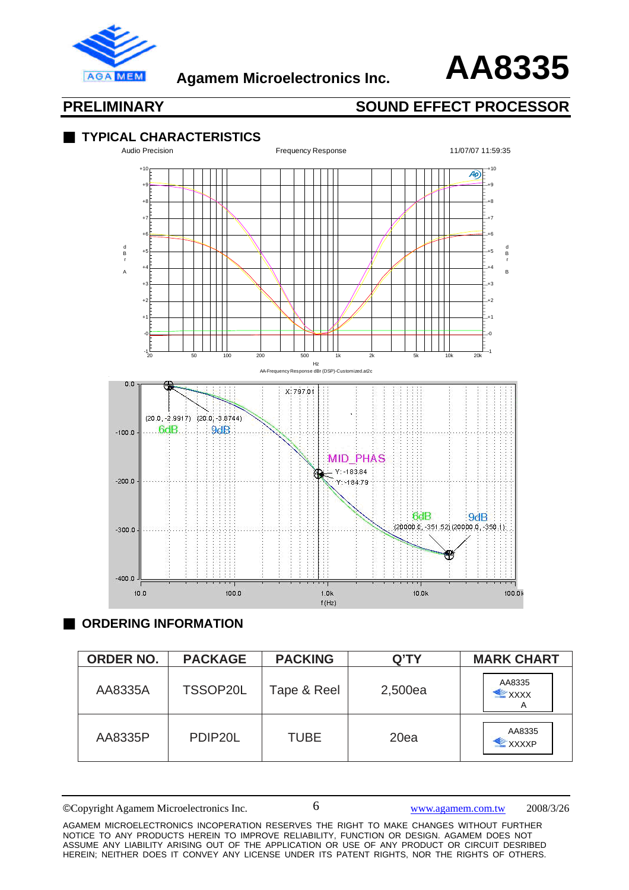



### ■ **TYPICAL CHARACTERISTICS**



### ■ **ORDERING INFORMATION**

| <b>ORDER NO.</b> | <b>PACKAGE</b> | <b>PACKING</b> | Q'TY    | <b>MARK CHART</b>                |
|------------------|----------------|----------------|---------|----------------------------------|
| AA8335A          | TSSOP20L       | Tape & Reel    | 2,500ea | AA8335<br>$\mathbb{Z}$ XXXX<br>А |
| AA8335P          | PDIP20L        | <b>TUBE</b>    | 20ea    | AA8335<br><b>XXXXP</b>           |

<sup>©</sup>Copyright Agamem Microelectronics Inc. www.agamem.com.tw 2008/3/26

AGAMEM MICROELECTRONICS INCOPERATION RESERVES THE RIGHT TO MAKE CHANGES WITHOUT FURTHER NOTICE TO ANY PRODUCTS HEREIN TO IMPROVE RELIABILITY, FUNCTION OR DESIGN. AGAMEM DOES NOT ASSUME ANY LIABILITY ARISING OUT OF THE APPLICATION OR USE OF ANY PRODUCT OR CIRCUIT DESRIBED HEREIN; NEITHER DOES IT CONVEY ANY LICENSE UNDER ITS PATENT RIGHTS, NOR THE RIGHTS OF OTHERS.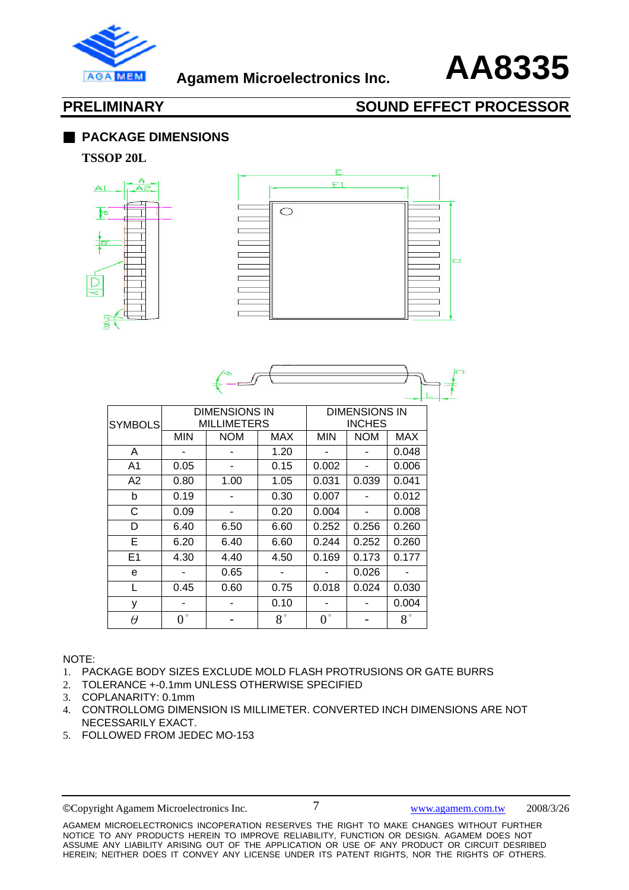



### ■ **PACKAGE DIMENSIONS**

### **TSSOP 20L**





| <b>SYMBOLS</b> | <b>DIMENSIONS IN</b><br><b>MILLIMETERS</b> |            |             | <b>DIMENSIONS IN</b><br><b>INCHES</b> |            |             |  |
|----------------|--------------------------------------------|------------|-------------|---------------------------------------|------------|-------------|--|
|                | <b>MIN</b>                                 | <b>NOM</b> | MAX         | <b>MIN</b>                            | <b>NOM</b> | MAX         |  |
| A              |                                            |            | 1.20        |                                       |            | 0.048       |  |
| A1             | 0.05                                       |            | 0.15        | 0.002                                 | ٠          | 0.006       |  |
| A <sub>2</sub> | 0.80                                       | 1.00       | 1.05        | 0.031                                 | 0.039      | 0.041       |  |
| b              | 0.19                                       |            | 0.30        | 0.007                                 |            | 0.012       |  |
| С              | 0.09                                       |            | 0.20        | 0.004                                 |            | 0.008       |  |
| D              | 6.40                                       | 6.50       | 6.60        | 0.252                                 | 0.256      | 0.260       |  |
| Е              | 6.20                                       | 6.40       | 6.60        | 0.244                                 | 0.252      | 0.260       |  |
| E1             | 4.30                                       | 4.40       | 4.50        | 0.169                                 | 0.173      | 0.177       |  |
| e              |                                            | 0.65       |             |                                       | 0.026      |             |  |
| L              | 0.45                                       | 0.60       | 0.75        | 0.018                                 | 0.024      | 0.030       |  |
| У              |                                            |            | 0.10        |                                       |            | 0.004       |  |
| $\theta$       | $0^{\circ}$                                |            | $8^{\circ}$ | $0^{\circ}$                           |            | $8^{\circ}$ |  |

### NOTE:

- 1. PACKAGE BODY SIZES EXCLUDE MOLD FLASH PROTRUSIONS OR GATE BURRS
- 2. TOLERANCE +-0.1mm UNLESS OTHERWISE SPECIFIED
- 3. COPLANARITY: 0.1mm
- 4. CONTROLLOMG DIMENSION IS MILLIMETER. CONVERTED INCH DIMENSIONS ARE NOT NECESSARILY EXACT.
- 5. FOLLOWED FROM JEDEC MO-153

©Copyright Agamem Microelectronics Inc. www.agamem.com.tw 2008/3/26